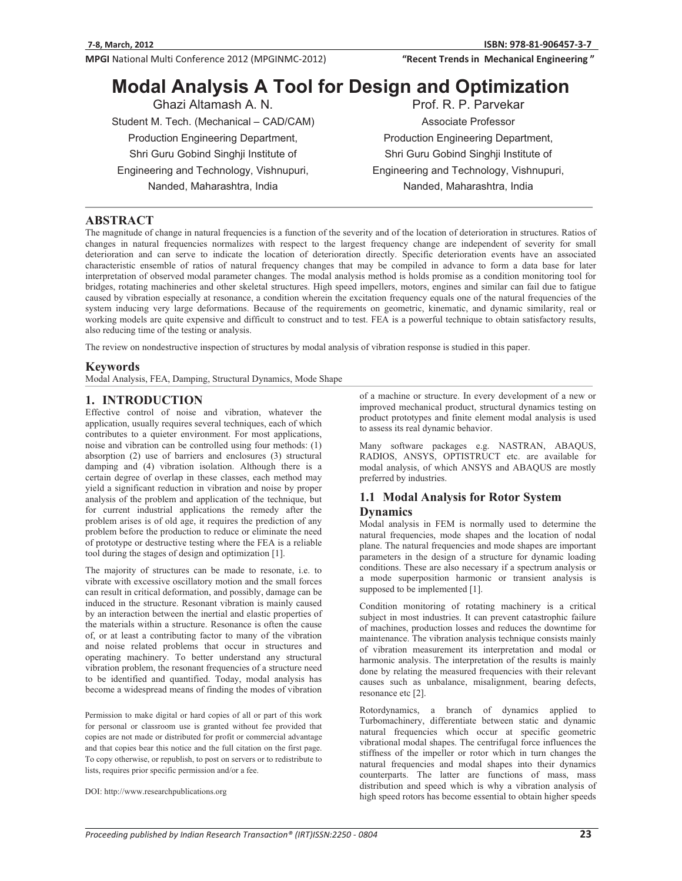MPGI National Multi Conference 2012 (MPGINMC-2012)

"Recent Trends in Mechanical Engineering"

# **Modal Analysis A Tool for Design and Optimization**

Ghazi Altamash A. N. Student M. Tech. (Mechanical – CAD/CAM) Production Engineering Department, Shri Guru Gobind Singhji Institute of Engineering and Technology, Vishnupuri, Nanded, Maharashtra, India

Prof. R. P. Parvekar Associate Professor Production Engineering Department, Shri Guru Gobind Singhji Institute of Engineering and Technology, Vishnupuri, Nanded, Maharashtra, India

# **ABSTRACT**

The magnitude of change in natural frequencies is a function of the severity and of the location of deterioration in structures. Ratios of changes in natural frequencies normalizes with respect to the largest frequency change are independent of severity for small deterioration and can serve to indicate the location of deterioration directly. Specific deterioration events have an associated characteristic ensemble of ratios of natural frequency changes that may be compiled in advance to form a data base for later interpretation of observed modal parameter changes. The modal analysis method is holds promise as a condition monitoring tool for bridges, rotating machineries and other skeletal structures. High speed impellers, motors, engines and similar can fail due to fatigue caused by vibration especially at resonance, a condition wherein the excitation frequency equals one of the natural frequencies of the system inducing very large deformations. Because of the requirements on geometric, kinematic, and dynamic similarity, real or working models are quite expensive and difficult to construct and to test. FEA is a powerful technique to obtain satisfactory results, also reducing time of the testing or analysis.

The review on nondestructive inspection of structures by modal analysis of vibration response is studied in this paper.

#### **Keywords**

Modal Analysis, FEA, Damping, Structural Dynamics, Mode Shape

#### **1. INTRODUCTION**

Effective control of noise and vibration, whatever the application, usually requires several techniques, each of which contributes to a quieter environment. For most applications, noise and vibration can be controlled using four methods: (1) absorption (2) use of barriers and enclosures (3) structural damping and (4) vibration isolation. Although there is a certain degree of overlap in these classes, each method may yield a significant reduction in vibration and noise by proper analysis of the problem and application of the technique, but for current industrial applications the remedy after the problem arises is of old age, it requires the prediction of any problem before the production to reduce or eliminate the need of prototype or destructive testing where the FEA is a reliable tool during the stages of design and optimization [1].

The majority of structures can be made to resonate, i.e. to vibrate with excessive oscillatory motion and the small forces can result in critical deformation, and possibly, damage can be induced in the structure. Resonant vibration is mainly caused by an interaction between the inertial and elastic properties of the materials within a structure. Resonance is often the cause of, or at least a contributing factor to many of the vibration and noise related problems that occur in structures and operating machinery. To better understand any structural vibration problem, the resonant frequencies of a structure need to be identified and quantified. Today, modal analysis has become a widespread means of finding the modes of vibration

Permission to make digital or hard copies of all or part of this work for personal or classroom use is granted without fee provided that copies are not made or distributed for profit or commercial advantage and that copies bear this notice and the full citation on the first page. To copy otherwise, or republish, to post on servers or to redistribute to lists, requires prior specific permission and/or a fee.

DOI: http://www.researchpublications.org

of a machine or structure. In every development of a new or improved mechanical product, structural dynamics testing on product prototypes and finite element modal analysis is used to assess its real dynamic behavior.

Many software packages e.g. NASTRAN, ABAQUS, RADIOS, ANSYS, OPTISTRUCT etc. are available for modal analysis, of which ANSYS and ABAQUS are mostly preferred by industries.

# **1.1 Modal Analysis for Rotor System Dynamics**

Modal analysis in FEM is normally used to determine the natural frequencies, mode shapes and the location of nodal plane. The natural frequencies and mode shapes are important parameters in the design of a structure for dynamic loading conditions. These are also necessary if a spectrum analysis or a mode superposition harmonic or transient analysis is supposed to be implemented [1].

Condition monitoring of rotating machinery is a critical subject in most industries. It can prevent catastrophic failure of machines, production losses and reduces the downtime for maintenance. The vibration analysis technique consists mainly of vibration measurement its interpretation and modal or harmonic analysis. The interpretation of the results is mainly done by relating the measured frequencies with their relevant causes such as unbalance, misalignment, bearing defects, resonance etc [2].

Rotordynamics, a branch of dynamics applied to Turbomachinery, differentiate between static and dynamic natural frequencies which occur at specific geometric vibrational modal shapes. The centrifugal force influences the stiffness of the impeller or rotor which in turn changes the natural frequencies and modal shapes into their dynamics counterparts. The latter are functions of mass, mass distribution and speed which is why a vibration analysis of high speed rotors has become essential to obtain higher speeds

*---------------*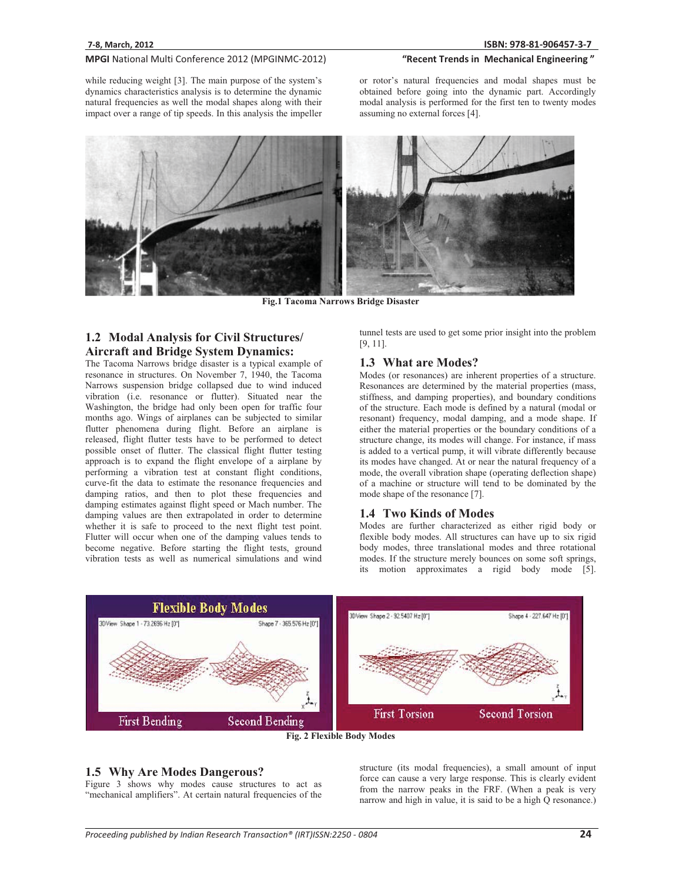#### MPGI National Multi Conference 2012 (MPGINMC-2012) "Recent Trends in Mechanical Engineering"

while reducing weight [3]. The main purpose of the system's dynamics characteristics analysis is to determine the dynamic natural frequencies as well the modal shapes along with their impact over a range of tip speeds. In this analysis the impeller

or rotor's natural frequencies and modal shapes must be obtained before going into the dynamic part. Accordingly modal analysis is performed for the first ten to twenty modes assuming no external forces [4].



**Fig.1 Tacoma Narrows Bridge Disaster**

# **1.2 Modal Analysis for Civil Structures/ Aircraft and Bridge System Dynamics:**

The Tacoma Narrows bridge disaster is a typical example of resonance in structures. On November 7, 1940, the Tacoma Narrows suspension bridge collapsed due to wind induced vibration (i.e. resonance or flutter). Situated near the Washington, the bridge had only been open for traffic four months ago. Wings of airplanes can be subjected to similar flutter phenomena during flight. Before an airplane is released, flight flutter tests have to be performed to detect possible onset of flutter. The classical flight flutter testing approach is to expand the flight envelope of a airplane by performing a vibration test at constant flight conditions, curve-fit the data to estimate the resonance frequencies and damping ratios, and then to plot these frequencies and damping estimates against flight speed or Mach number. The damping values are then extrapolated in order to determine whether it is safe to proceed to the next flight test point. Flutter will occur when one of the damping values tends to become negative. Before starting the flight tests, ground vibration tests as well as numerical simulations and wind tunnel tests are used to get some prior insight into the problem [9, 11].

#### **1.3 What are Modes?**

Modes (or resonances) are inherent properties of a structure. Resonances are determined by the material properties (mass, stiffness, and damping properties), and boundary conditions of the structure. Each mode is defined by a natural (modal or resonant) frequency, modal damping, and a mode shape. If either the material properties or the boundary conditions of a structure change, its modes will change. For instance, if mass is added to a vertical pump, it will vibrate differently because its modes have changed. At or near the natural frequency of a mode, the overall vibration shape (operating deflection shape) of a machine or structure will tend to be dominated by the mode shape of the resonance [7].

#### **1.4 Two Kinds of Modes**

Modes are further characterized as either rigid body or flexible body modes. All structures can have up to six rigid body modes, three translational modes and three rotational modes. If the structure merely bounces on some soft springs, its motion approximates a rigid body mode [5].



**Fig. 2 Flexible Body Modes** 

#### **1.5 Why Are Modes Dangerous?**

Figure 3 shows why modes cause structures to act as "mechanical amplifiers". At certain natural frequencies of the

structure (its modal frequencies), a small amount of input force can cause a very large response. This is clearly evident from the narrow peaks in the FRF. (When a peak is very narrow and high in value, it is said to be a high Q resonance.)

*---------------*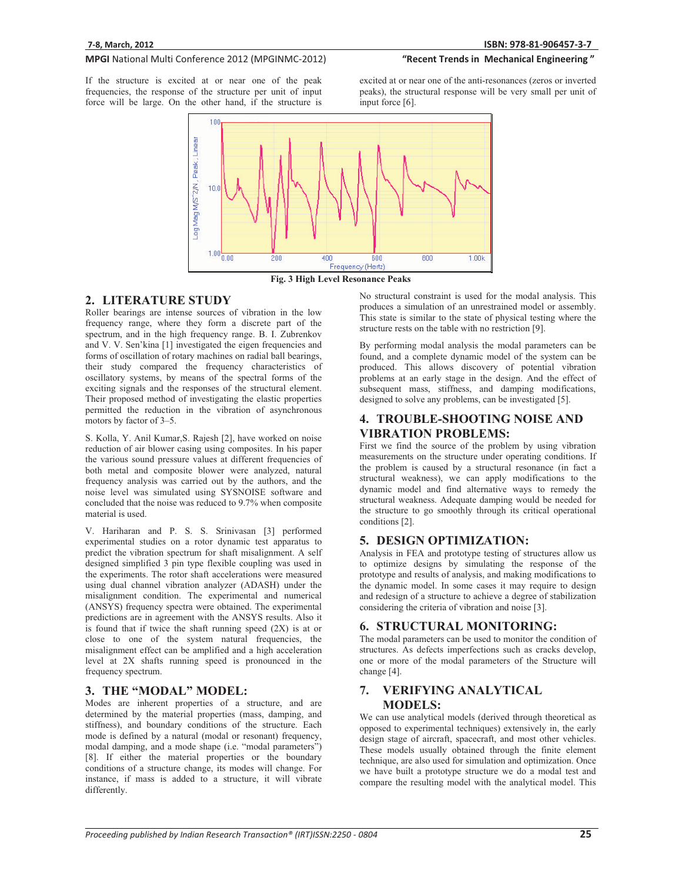# MPGI National Multi Conference 2012 (MPGINMC-2012)

If the structure is excited at or near one of the peak frequencies, the response of the structure per unit of input force will be large. On the other hand, if the structure is



"Recent Trends in Mechanical Engineering"



#### **Fig. 3 High Level Resonance Peaks**

# **2. LITERATURE STUDY**

Roller bearings are intense sources of vibration in the low frequency range, where they form a discrete part of the spectrum, and in the high frequency range. B. I. Zubrenkov and V. V. Sen'kina [1] investigated the eigen frequencies and forms of oscillation of rotary machines on radial ball bearings, their study compared the frequency characteristics of oscillatory systems, by means of the spectral forms of the exciting signals and the responses of the structural element. Their proposed method of investigating the elastic properties permitted the reduction in the vibration of asynchronous motors by factor of 3–5.

S. Kolla, Y. Anil Kumar,S. Rajesh [2], have worked on noise reduction of air blower casing using composites. In his paper the various sound pressure values at different frequencies of both metal and composite blower were analyzed, natural frequency analysis was carried out by the authors, and the noise level was simulated using SYSNOISE software and concluded that the noise was reduced to 9.7% when composite material is used.

V. Hariharan and P. S. S. Srinivasan [3] performed experimental studies on a rotor dynamic test apparatus to predict the vibration spectrum for shaft misalignment. A self designed simplified 3 pin type flexible coupling was used in the experiments. The rotor shaft accelerations were measured using dual channel vibration analyzer (ADASH) under the misalignment condition. The experimental and numerical (ANSYS) frequency spectra were obtained. The experimental predictions are in agreement with the ANSYS results. Also it is found that if twice the shaft running speed (2X) is at or close to one of the system natural frequencies, the misalignment effect can be amplified and a high acceleration level at 2X shafts running speed is pronounced in the frequency spectrum.

# **3. THE "MODAL" MODEL:**

Modes are inherent properties of a structure, and are determined by the material properties (mass, damping, and stiffness), and boundary conditions of the structure. Each mode is defined by a natural (modal or resonant) frequency, modal damping, and a mode shape (i.e. "modal parameters") [8]. If either the material properties or the boundary conditions of a structure change, its modes will change. For instance, if mass is added to a structure, it will vibrate differently.

No structural constraint is used for the modal analysis. This produces a simulation of an unrestrained model or assembly. This state is similar to the state of physical testing where the structure rests on the table with no restriction [9].

By performing modal analysis the modal parameters can be found, and a complete dynamic model of the system can be produced. This allows discovery of potential vibration problems at an early stage in the design. And the effect of subsequent mass, stiffness, and damping modifications, designed to solve any problems, can be investigated [5].

# **4. TROUBLE-SHOOTING NOISE AND VIBRATION PROBLEMS:**

First we find the source of the problem by using vibration measurements on the structure under operating conditions. If the problem is caused by a structural resonance (in fact a structural weakness), we can apply modifications to the dynamic model and find alternative ways to remedy the structural weakness. Adequate damping would be needed for the structure to go smoothly through its critical operational conditions [2].

# **5. DESIGN OPTIMIZATION:**

Analysis in FEA and prototype testing of structures allow us to optimize designs by simulating the response of the prototype and results of analysis, and making modifications to the dynamic model. In some cases it may require to design and redesign of a structure to achieve a degree of stabilization considering the criteria of vibration and noise [3].

#### **6. STRUCTURAL MONITORING:**

The modal parameters can be used to monitor the condition of structures. As defects imperfections such as cracks develop, one or more of the modal parameters of the Structure will change [4].

# **7. VERIFYING ANALYTICAL MODELS:**

We can use analytical models (derived through theoretical as opposed to experimental techniques) extensively in, the early design stage of aircraft, spacecraft, and most other vehicles. These models usually obtained through the finite element technique, are also used for simulation and optimization. Once we have built a prototype structure we do a modal test and compare the resulting model with the analytical model. This

*--------------*